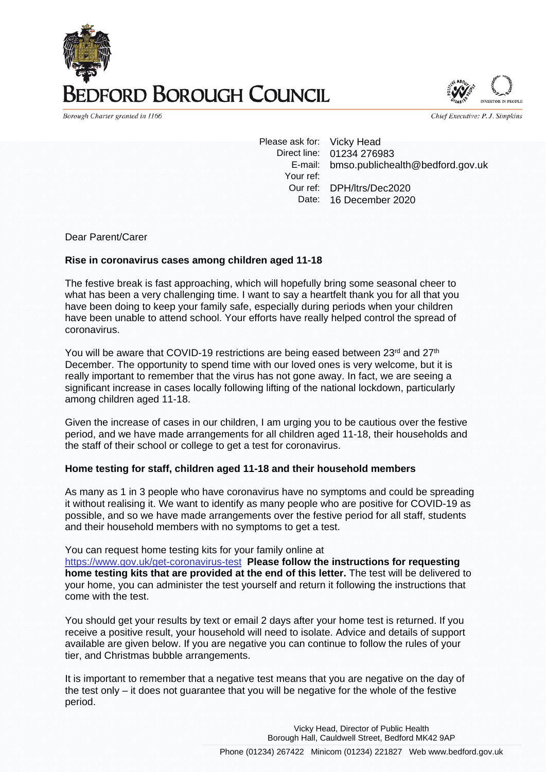# **DRD BOROUGH COUNCIL**

Borough Charter granted in 1166

Chief Executive: P. J. Simpkins

Please ask for: Vicky Head Direct line: 01234 276983 E-mail: bmso.publichealth@bedford.gov.uk Your ref: Our ref: DPH/ltrs/Dec2020 Date: 16 December 2020

Dear Parent/Carer

#### **Rise in coronavirus cases among children aged 11-18**

The festive break is fast approaching, which will hopefully bring some seasonal cheer to what has been a very challenging time. I want to say a heartfelt thank you for all that you have been doing to keep your family safe, especially during periods when your children have been unable to attend school. Your efforts have really helped control the spread of coronavirus.

You will be aware that COVID-19 restrictions are being eased between 23 $rd$  and 27 $th$ December. The opportunity to spend time with our loved ones is very welcome, but it is really important to remember that the virus has not gone away. In fact, we are seeing a significant increase in cases locally following lifting of the national lockdown, particularly among children aged 11-18.

Given the increase of cases in our children, I am urging you to be cautious over the festive period, and we have made arrangements for all children aged 11-18, their households and the staff of their school or college to get a test for coronavirus.

#### **Home testing for staff, children aged 11-18 and their household members**

As many as 1 in 3 people who have coronavirus have no symptoms and could be spreading it without realising it. We want to identify as many people who are positive for COVID-19 as possible, and so we have made arrangements over the festive period for all staff, students and their household members with no symptoms to get a test.

You can request home testing kits for your family online at <https://www.gov.uk/get-coronavirus-test>**Please follow the instructions for requesting home testing kits that are provided at the end of this letter.** The test will be delivered to

your home, you can administer the test yourself and return it following the instructions that come with the test.

You should get your results by text or email 2 days after your home test is returned. If you receive a positive result, your household will need to isolate. Advice and details of support available are given below. If you are negative you can continue to follow the rules of your tier, and Christmas bubble arrangements.

It is important to remember that a negative test means that you are negative on the day of the test only – it does not guarantee that you will be negative for the whole of the festive period.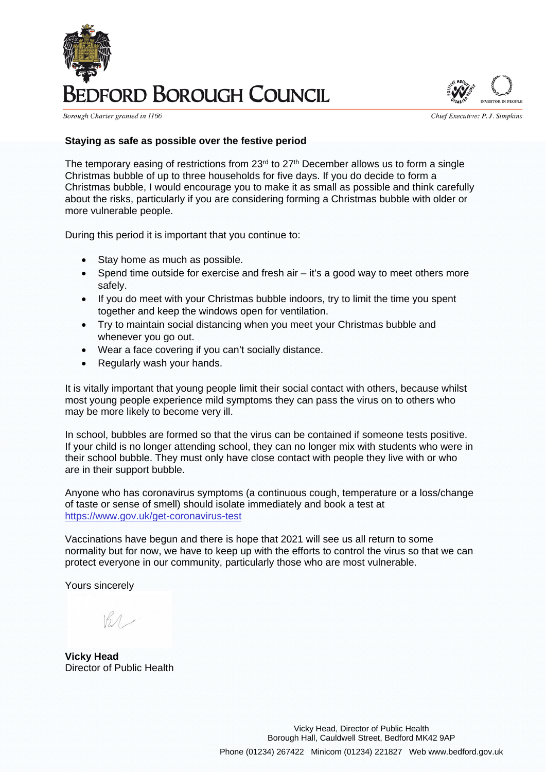

Borough Charter granted in 1166

Chief Executive: P. J. Simpkins

#### **Staying as safe as possible over the festive period**

The temporary easing of restrictions from  $23<sup>rd</sup>$  to  $27<sup>th</sup>$  December allows us to form a single Christmas bubble of up to three households for five days. If you do decide to form a Christmas bubble, I would encourage you to make it as small as possible and think carefully about the risks, particularly if you are considering forming a Christmas bubble with older or more vulnerable people.

During this period it is important that you continue to:

- Stay home as much as possible.
- Spend time outside for exercise and fresh air it's a good way to meet others more safely.
- If you do meet with your Christmas bubble indoors, try to limit the time you spent together and keep the windows open for ventilation.
- Try to maintain social distancing when you meet your Christmas bubble and whenever you go out.
- Wear a face covering if you can't socially distance.
- Regularly wash your hands.

It is vitally important that young people limit their social contact with others, because whilst most young people experience mild symptoms they can pass the virus on to others who may be more likely to become very ill.

In school, bubbles are formed so that the virus can be contained if someone tests positive. If your child is no longer attending school, they can no longer mix with students who were in their school bubble. They must only have close contact with people they live with or who are in their support bubble.

Anyone who has coronavirus symptoms (a continuous cough, temperature or a loss/change of taste or sense of smell) should isolate immediately and book a test at <https://www.gov.uk/get-coronavirus-test>

Vaccinations have begun and there is hope that 2021 will see us all return to some normality but for now, we have to keep up with the efforts to control the virus so that we can protect everyone in our community, particularly those who are most vulnerable.

Yours sincerely

 $BA$ 

**Vicky Head** Director of Public Health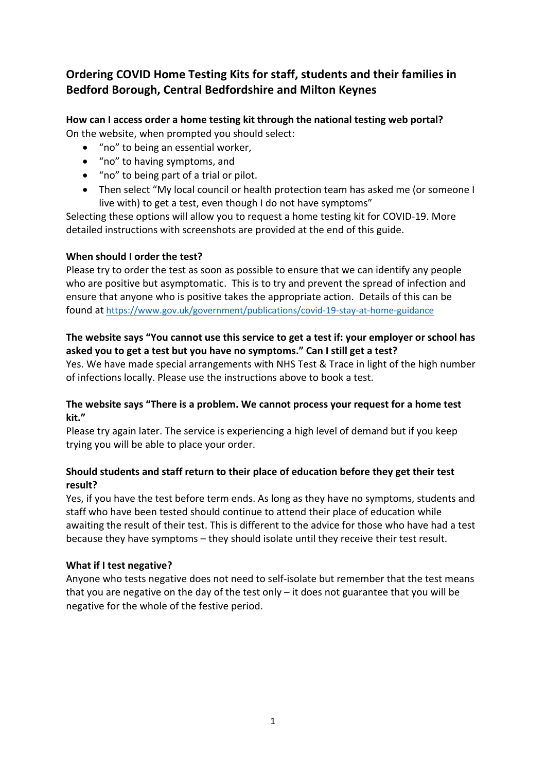# **Ordering COVID Home Testing Kits for staff, students and their families in Bedford Borough, Central Bedfordshire and Milton Keynes**

#### **How can I access order a home testing kit through the national testing web portal?** On the website, when prompted you should select:

- "no" to being an essential worker,
- "no" to having symptoms, and
- "no" to being part of a trial or pilot.
- Then select "My local council or health protection team has asked me (or someone I live with) to get a test, even though I do not have symptoms"

Selecting these options will allow you to request a home testing kit for COVID-19. More detailed instructions with screenshots are provided at the end of this guide.

### **When should I order the test?**

Please try to order the test as soon as possible to ensure that we can identify any people who are positive but asymptomatic. This is to try and prevent the spread of infection and ensure that anyone who is positive takes the appropriate action. Details of this can be found at <https://www.gov.uk/government/publications/covid-19-stay-at-home-guidance>

### **The website says "You cannot use this service to get a test if: your employer or school has asked you to get a test but you have no symptoms." Can I still get a test?**

Yes. We have made special arrangements with NHS Test & Trace in light of the high number of infections locally. Please use the instructions above to book a test.

### **The website says "There is a problem. We cannot process your request for a home test kit."**

Please try again later. The service is experiencing a high level of demand but if you keep trying you will be able to place your order.

## **Should students and staff return to their place of education before they get their test result?**

Yes, if you have the test before term ends. As long as they have no symptoms, students and staff who have been tested should continue to attend their place of education while awaiting the result of their test. This is different to the advice for those who have had a test because they have symptoms – they should isolate until they receive their test result.

### **What if I test negative?**

Anyone who tests negative does not need to self-isolate but remember that the test means that you are negative on the day of the test only – it does not guarantee that you will be negative for the whole of the festive period.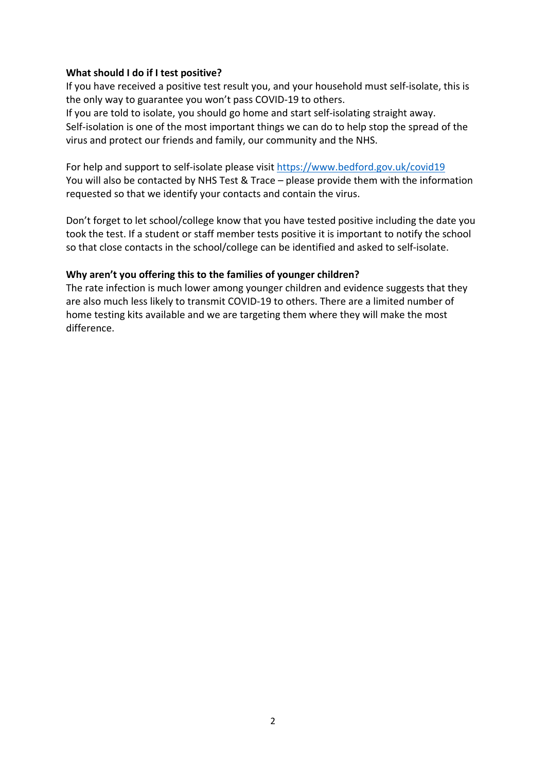#### **What should I do if I test positive?**

If you have received a positive test result you, and your household must self-isolate, this is the only way to guarantee you won't pass COVID-19 to others.

If you are told to isolate, you should go home and start self-isolating straight away. Self-isolation is one of the most important things we can do to help stop the spread of the virus and protect our friends and family, our community and the NHS.

For help and support to self-isolate please visit<https://www.bedford.gov.uk/covid19> You will also be contacted by NHS Test & Trace – please provide them with the information requested so that we identify your contacts and contain the virus.

Don't forget to let school/college know that you have tested positive including the date you took the test. If a student or staff member tests positive it is important to notify the school so that close contacts in the school/college can be identified and asked to self-isolate.

#### **Why aren't you offering this to the families of younger children?**

The rate infection is much lower among younger children and evidence suggests that they are also much less likely to transmit COVID-19 to others. There are a limited number of home testing kits available and we are targeting them where they will make the most difference.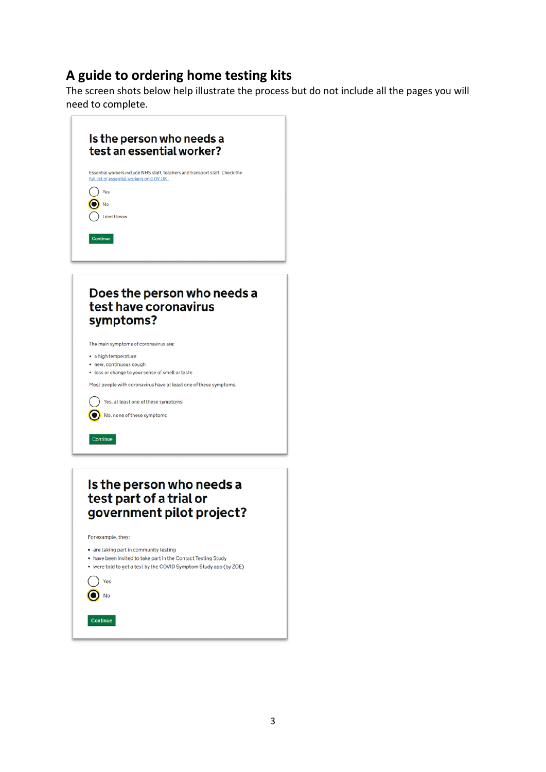# **A guide to ordering home testing kits**

The screen shots below help illustrate the process but do not include all the pages you will need to complete.



- are taking part in community testing
- . have been invited to take part in the Contact Testing Study
- were told to get a test by the COVID Symptom Study app (by ZOE)

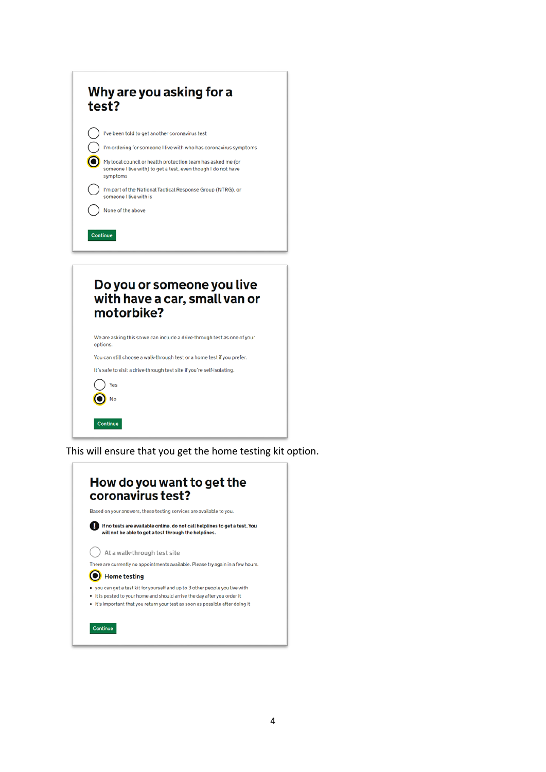| Why are you asking for a<br>test?                                                                                                                                                                                                                                                                                                                                             |
|-------------------------------------------------------------------------------------------------------------------------------------------------------------------------------------------------------------------------------------------------------------------------------------------------------------------------------------------------------------------------------|
| I've been told to get another coronavirus test<br>I'm ordering for someone I live with who has coronavirus symptoms<br>My local council or health protection team has asked me (or<br>someone I live with) to get a test, even though I do not have<br>symptoms<br>I'm part of the National Tactical Response Group (NTRG), or<br>someone I live with is<br>None of the above |
| Continue<br>Do you or someone you live<br>with have a car, small van or<br>motorbike?                                                                                                                                                                                                                                                                                         |

We are asking this so we can include a drive-through test as one of your options.

You can still choose a walk-through test or a home test if you prefer.

It's safe to visit a drive-through test site if you're self-isolating.



This will ensure that you get the home testing kit option.